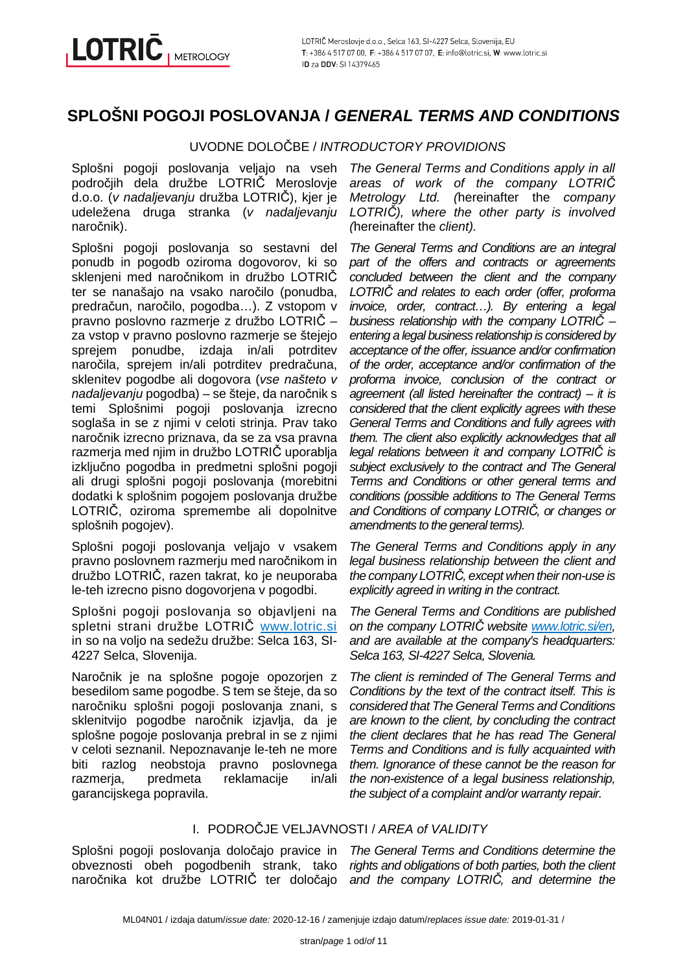# **SPLOŠNI POGOJI POSLOVANJA / GENERAL TERMS AND CONDITIONS**

UVODNE DOLOČBE / INTRODUCTORY PROVIDIONS

Splošni pogoji poslovanja veljajo na vseh področjih dela družbe LOTRIČ Meroslovje d.o.o. (v nadaljevanju družba LOTRIČ), kjer je udeležena druga stranka (v nadaljevanju naročnik).

Splošni pogoji poslovanja so sestavni del ponudb in pogodb oziroma dogovorov, ki so sklenieni med naročnikom in družbo LOTRIČ ter se nanašajo na vsako naročilo (ponudba, predračun, naročilo, pogodba…). Z vstopom v pravno poslovno razmerje z družbo LOTRIČ – za vstop v pravno poslovno razmerje se štejejo sprejem ponudbe, izdaja in/ali potrditev naročila, sprejem in/ali potrditev predračuna, sklenitev pogodbe ali dogovora (vse našteto v nadaljevanju pogodba) – se šteje, da naročnik s temi Splošnimi pogoji poslovanja izrecno soglaša in se z njimi v celoti strinja. Prav tako naročnik izrecno priznava, da se za vsa pravna razmerja med njim in družbo LOTRIČ uporablja izključno pogodba in predmetni splošni pogoji ali drugi splošni pogoji poslovanja (morebitni dodatki k splošnim pogojem poslovanja družbe LOTRIČ, oziroma spremembe ali dopolnitve splošnih pogojev).

Splošni pogoji poslovanja veljajo v vsakem pravno poslovnem razmerju med naročnikom in družbo LOTRIČ, razen takrat, ko je neuporaba le-teh izrecno pisno dogovorjena v pogodbi.

Splošni pogoji poslovanja so objavljeni na spletni strani družbe LOTRIČ www.lotric.si in so na voljo na sedežu družbe: Selca 163, SI-4227 Selca, Slovenija.

Naročnik je na splošne pogoje opozorjen z besedilom same pogodbe. S tem se šteje, da so naročniku splošni pogoji poslovanja znani, s sklenitvijo pogodbe naročnik izjavlja, da je splošne pogoje poslovanja prebral in se z njimi v celoti seznanil. Nepoznavanje le-teh ne more biti razlog neobstoja pravno poslovnega razmerja, predmeta reklamacije in/ali garancijskega popravila.

The General Terms and Conditions apply in all areas of work of the company LOTRI*Č* Metrology Ltd. (hereinafter the company LOTRI*Č*), where the other party is involved (hereinafter the client).

The General Terms and Conditions are an integral part of the offers and contracts or agreements concluded between the client and the company LOTRI*Č* and relates to each order (offer, proforma invoice, order, contract…). By entering a legal business relationship with the company LOTRI*Č* – entering a legal business relationship is considered by acceptance of the offer, issuance and/or confirmation of the order, acceptance and/or confirmation of the proforma invoice, conclusion of the contract or agreement (all listed hereinafter the contract) – it is considered that the client explicitly agrees with these General Terms and Conditions and fully agrees with them. The client also explicitly acknowledges that all legal relations between it and company LOTRI*Č* is subject exclusively to the contract and The General Terms and Conditions or other general terms and conditions (possible additions to The General Terms and Conditions of company LOTRI*Č*, or changes or amendments to the general terms).

The General Terms and Conditions apply in any legal business relationship between the client and the company LOTRI*Č*, except when their non-use is explicitly agreed in writing in the contract.

The General Terms and Conditions are published on the company LOTRI*Č* website www.lotric.si/en, and are available at the company's headquarters: Selca 163, SI-4227 Selca, Slovenia.

The client is reminded of The General Terms and Conditions by the text of the contract itself. This is considered that The General Terms and Conditions are known to the client, by concluding the contract the client declares that he has read The General Terms and Conditions and is fully acquainted with them. Ignorance of these cannot be the reason for the non-existence of a legal business relationship, the subject of a complaint and/or warranty repair.

# I. PODROČJE VELJAVNOSTI / AREA of VALIDITY

Splošni pogoji poslovanja določajo pravice in obveznosti obeh pogodbenih strank, tako naročnika kot družbe LOTRIČ ter določajo

The General Terms and Conditions determine the rights and obligations of both parties, both the client and the company LOTRI*Č*, and determine the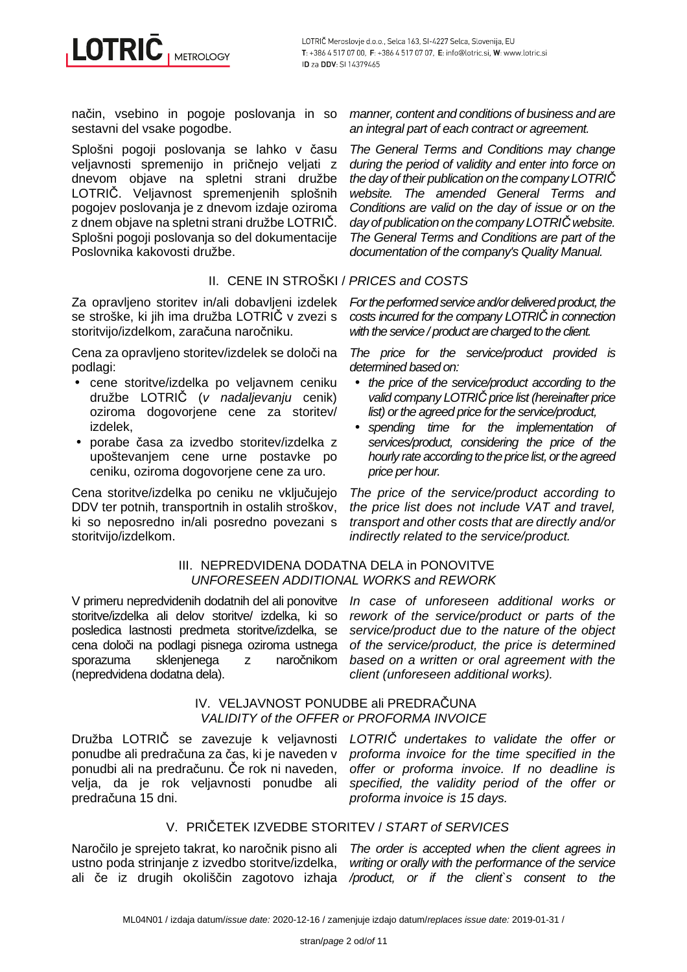

način, vsebino in pogoje poslovanja in so sestavni del vsake pogodbe.

Splošni pogoji poslovanja se lahko v času veljavnosti spremenijo in pričnejo veljati z dnevom objave na spletni strani družbe LOTRIČ. Veljavnost spremenjenih splošnih pogojev poslovanja je z dnevom izdaje oziroma z dnem objave na spletni strani družbe LOTRIČ. Splošni pogoji poslovanja so del dokumentacije Poslovnika kakovosti družbe.

# II. CENE IN STROŠKI / PRICES and COSTS

Za opravljeno storitev in/ali dobavljeni izdelek se stroške, ki jih ima družba LOTRIČ v zvezi s storitvijo/izdelkom, zaračuna naročniku.

Cena za opravljeno storitev/izdelek se določi na podlagi:

- cene storitve/izdelka po veljavnem ceniku družbe LOTRIČ (v nadaljevanju cenik) oziroma dogovorjene cene za storitev/ izdelek,
- porabe časa za izvedbo storitev/izdelka z upoštevanjem cene urne postavke po ceniku, oziroma dogovorjene cene za uro.

Cena storitve/izdelka po ceniku ne vključujejo DDV ter potnih, transportnih in ostalih stroškov, ki so neposredno in/ali posredno povezani s storitvijo/izdelkom.

manner, content and conditions of business and are an integral part of each contract or agreement.

The General Terms and Conditions may change during the period of validity and enter into force on the day of their publication on the company LOTRI*Č* website. The amended General Terms and Conditions are valid on the day of issue or on the day of publication on the company LOTRI*Č* website. The General Terms and Conditions are part of the documentation of the company's Quality Manual.

For the performed service and/or delivered product, the costs incurred for the company LOTRI*Č* in connection with the service / product are charged to the client.

The price for the service/product provided is determined based on:

- the price of the service/product according to the valid company LOTRI*Č* price list (hereinafter price list) or the agreed price for the service/product,
- spending time for the implementation of services/product, considering the price of the hourly rate according to the price list, or the agreed price per hour.

The price of the service/product according to the price list does not include VAT and travel, transport and other costs that are directly and/or indirectly related to the service/product.

#### III. NEPREDVIDENA DODATNA DELA in PONOVITVE UNFORESEEN ADDITIONAL WORKS and REWORK

V primeru nepredvidenih dodatnih del ali ponovitve In case of unforeseen additional works or storitve/izdelka ali delov storitve/ izdelka, ki so posledica lastnosti predmeta storitve/izdelka, se cena določi na podlagi pisnega oziroma ustnega sporazuma sklenjenega z naročnikom (nepredvidena dodatna dela).

rework of the service/product or parts of the service/product due to the nature of the object of the service/product, the price is determined based on a written or oral agreement with the client (unforeseen additional works).

#### IV. VELJAVNOST PONUDBE ali PREDRAČUNA VALIDITY of the OFFER or PROFORMA INVOICE

Družba LOTRIČ se zavezuje k veljavnosti *LOTRIČ undertakes to validate the offer or* ponudbe ali predračuna za čas, ki je naveden v ponudbi ali na predračunu. Če rok ni naveden, velja, da je rok veljavnosti ponudbe ali predračuna 15 dni.

proforma invoice for the time specified in the offer or proforma invoice. If no deadline is specified, the validity period of the offer or proforma invoice is 15 days.

# V. PRIČETEK IZVEDBE STORITEV / START of SERVICES

Naročilo je sprejeto takrat, ko naročnik pisno ali The order is accepted when the client agrees in ustno poda strinjanje z izvedbo storitve/izdelka,

ali če iz drugih okoliščin zagotovo izhaja /product, or if the client`s consent to the writing or orally with the performance of the service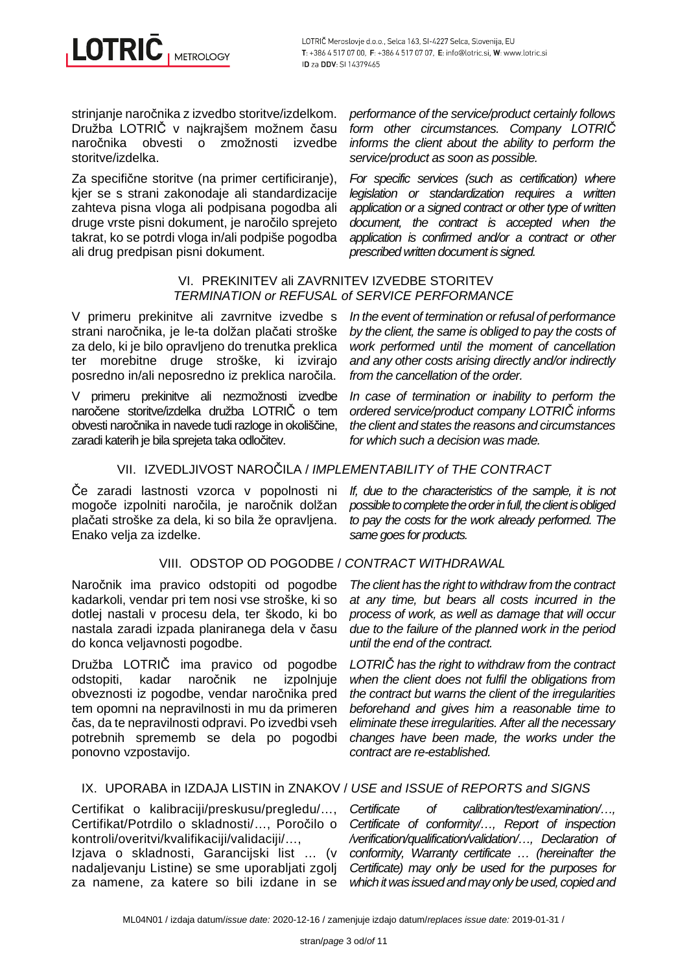strinjanje naročnika z izvedbo storitve/izdelkom. Družba LOTRIČ v najkrajšem možnem času naročnika obvesti o zmožnosti izvedbe storitve/izdelka.

Za specifične storitve (na primer certificiranje), kjer se s strani zakonodaje ali standardizacije zahteva pisna vloga ali podpisana pogodba ali druge vrste pisni dokument, je naročilo sprejeto takrat, ko se potrdi vloga in/ali podpiše pogodba ali drug predpisan pisni dokument.

performance of the service/product certainly follows form other circumstances. Company LOTRI*Č* informs the client about the ability to perform the service/product as soon as possible.

For specific services (such as certification) where legislation or standardization requires a written application or a signed contract or other type of written document, the contract is accepted when the application is confirmed and/or a contract or other prescribed written document is signed.

# VI. PREKINITEV ali ZAVRNITEV IZVEDBE STORITEV TERMINATION or REFUSAL of SERVICE PERFORMANCE

V primeru prekinitve ali zavrnitve izvedbe s strani naročnika, je le-ta dolžan plačati stroške za delo, ki je bilo opravljeno do trenutka preklica ter morebitne druge stroške, ki izvirajo posredno in/ali neposredno iz preklica naročila.

V primeru prekinitve ali nezmožnosti izvedbe naročene storitve/izdelka družba LOTRIČ o tem obvesti naročnika in navede tudi razloge in okoliščine, zaradi katerih je bila sprejeta taka odločitev.

In the event of termination or refusal of performance by the client, the same is obliged to pay the costs of work performed until the moment of cancellation and any other costs arising directly and/or indirectly from the cancellation of the order.

In case of termination or inability to perform the ordered service/product company LOTRI*Č* informs the client and states the reasons and circumstances for which such a decision was made.

If, due to the characteristics of the sample, it is not possible to complete the order in full, the client is obliged to pay the costs for the work already performed. The

# VII. IZVEDLJIVOST NAROČILA / IMPLEMENTABILITY of THE CONTRACT

Če zaradi lastnosti vzorca v popolnosti ni mogoče izpolniti naročila, je naročnik dolžan plačati stroške za dela, ki so bila že opravljena. Enako velja za izdelke.

# VIII. ODSTOP OD POGODBE / CONTRACT WITHDRAWAL

Naročnik ima pravico odstopiti od pogodbe kadarkoli, vendar pri tem nosi vse stroške, ki so dotlej nastali v procesu dela, ter škodo, ki bo nastala zaradi izpada planiranega dela v času do konca veljavnosti pogodbe.

Družba LOTRIČ ima pravico od pogodbe odstopiti, kadar naročnik ne izpolnjuje obveznosti iz pogodbe, vendar naročnika pred tem opomni na nepravilnosti in mu da primeren čas, da te nepravilnosti odpravi. Po izvedbi vseh potrebnih sprememb se dela po pogodbi ponovno vzpostavijo.

same goes for products. The client has the right to withdraw from the contract at any time, but bears all costs incurred in the process of work, as well as damage that will occur

due to the failure of the planned work in the period

until the end of the contract. LOTRI*Č* has the right to withdraw from the contract when the client does not fulfil the obligations from the contract but warns the client of the irregularities beforehand and gives him a reasonable time to eliminate these irregularities. After all the necessary changes have been made, the works under the contract are re-established.

# IX. UPORABA in IZDAJA LISTIN in ZNAKOV / USE and ISSUE of REPORTS and SIGNS

Certifikat o kalibraciji/preskusu/pregledu/…, Certifikat/Potrdilo o skladnosti/…, Poročilo o kontroli/overitvi/kvalifikaciji/validaciji/…,

Izjava o skladnosti, Garancijski list … (v nadaljevanju Listine) se sme uporabljati zgolj za namene, za katere so bili izdane in se

Certificate of calibration/test/examination/…, Certificate of conformity/…, Report of inspection /verification/qualification/validation/…, Declaration of conformity, Warranty certificate … (hereinafter the Certificate) may only be used for the purposes for which it was issued and may only be used, copied and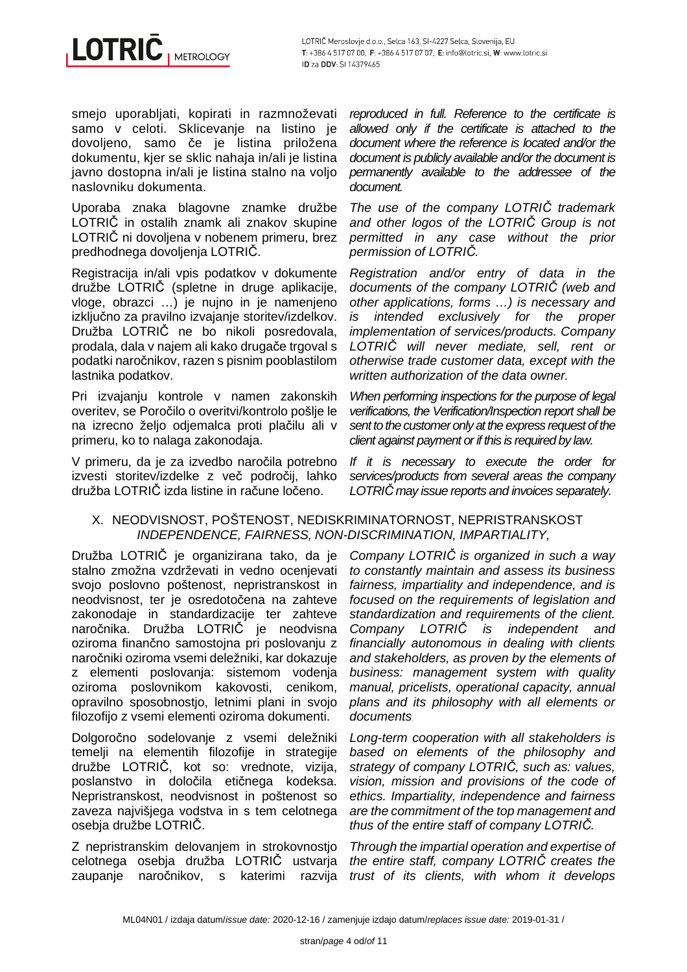smejo uporabljati, kopirati in razmnoževati samo v celoti. Sklicevanje na listino je dovoljeno, samo če je listina priložena dokumentu, kjer se sklic nahaja in/ali je listina javno dostopna in/ali je listina stalno na voljo naslovniku dokumenta.

Uporaba znaka blagovne znamke družbe LOTRIČ in ostalih znamk ali znakov skupine LOTRIČ ni dovoljena v nobenem primeru, brez predhodnega dovoljenja LOTRIČ.

Registracija in/ali vpis podatkov v dokumente družbe LOTRIČ (spletne in druge aplikacije, vloge, obrazci …) je nujno in je namenjeno izključno za pravilno izvajanje storitev/izdelkov. Družba LOTRIČ ne bo nikoli posredovala, prodala, dala v najem ali kako drugače trgoval s podatki naročnikov, razen s pisnim pooblastilom lastnika podatkov.

Pri izvajanju kontrole v namen zakonskih overitev, se Poročilo o overitvi/kontrolo pošlje le na izrecno željo odjemalca proti plačilu ali v primeru, ko to nalaga zakonodaja.

V primeru, da je za izvedbo naročila potrebno izvesti storitev/izdelke z več področij, lahko družba LOTRIČ izda listine in račune ločeno.

reproduced in full. Reference to the certificate is allowed only if the certificate is attached to the document where the reference is located and/or the document is publicly available and/or the document is permanently available to the addressee of the document.

The use of the company LOTRI*Č* trademark and other logos of the LOTRI*Č* Group is not permitted in any case without the prior permission of LOTRI*Č*.

Registration and/or entry of data in the documents of the company LOTRI*Č* (web and other applications, forms …) is necessary and is intended exclusively for the proper implementation of services/products. Company LOTRI*Č* will never mediate, sell, rent or otherwise trade customer data, except with the written authorization of the data owner.

When performing inspections for the purpose of legal verifications, the Verification/Inspection report shall be sent to the customer only at the express request of the client against payment or if this is required by law.

If it is necessary to execute the order for services/products from several areas the company LOTRI*Č* may issue reports and invoices separately.

# X. NEODVISNOST, POŠTENOST, NEDISKRIMINATORNOST, NEPRISTRANSKOST INDEPENDENCE, FAIRNESS, NON-DISCRIMINATION, IMPARTIALITY,

Družba LOTRIČ je organizirana tako, da je stalno zmožna vzdrževati in vedno ocenjevati svojo poslovno poštenost, nepristranskost in neodvisnost, ter je osredotočena na zahteve zakonodaje in standardizacije ter zahteve naročnika. Družba LOTRIČ je neodvisna oziroma finančno samostojna pri poslovanju z naročniki oziroma vsemi deležniki, kar dokazuje z elementi poslovanja: sistemom vodenja oziroma poslovnikom kakovosti, cenikom, opravilno sposobnostjo, letnimi plani in svojo filozofijo z vsemi elementi oziroma dokumenti.

Dolgoročno sodelovanje z vsemi deležniki temelji na elementih filozofije in strategije družbe LOTRIČ, kot so: vrednote, vizija, poslanstvo in določila etičnega kodeksa. Nepristranskost, neodvisnost in poštenost so zaveza najvišjega vodstva in s tem celotnega osebja družbe LOTRIČ.

Z nepristranskim delovanjem in strokovnostjo celotnega osebja družba LOTRIČ ustvarja zaupanje naročnikov, s katerimi razvija

Company LOTRI*Č* is organized in such a way to constantly maintain and assess its business fairness, impartiality and independence, and is focused on the requirements of legislation and standardization and requirements of the client. Company LOTRI*Č* is independent and financially autonomous in dealing with clients and stakeholders, as proven by the elements of business: management system with quality manual, pricelists, operational capacity, annual plans and its philosophy with all elements or documents.

Long-term cooperation with all stakeholders is based on elements of the philosophy and strategy of company LOTRI*Č*, such as: values, vision, mission and provisions of the code of ethics. Impartiality, independence and fairness are the commitment of the top management and thus of the entire staff of company LOTRI*Č*.

Through the impartial operation and expertise of the entire staff, company LOTRI*Č* creates the trust of its clients, with whom it develops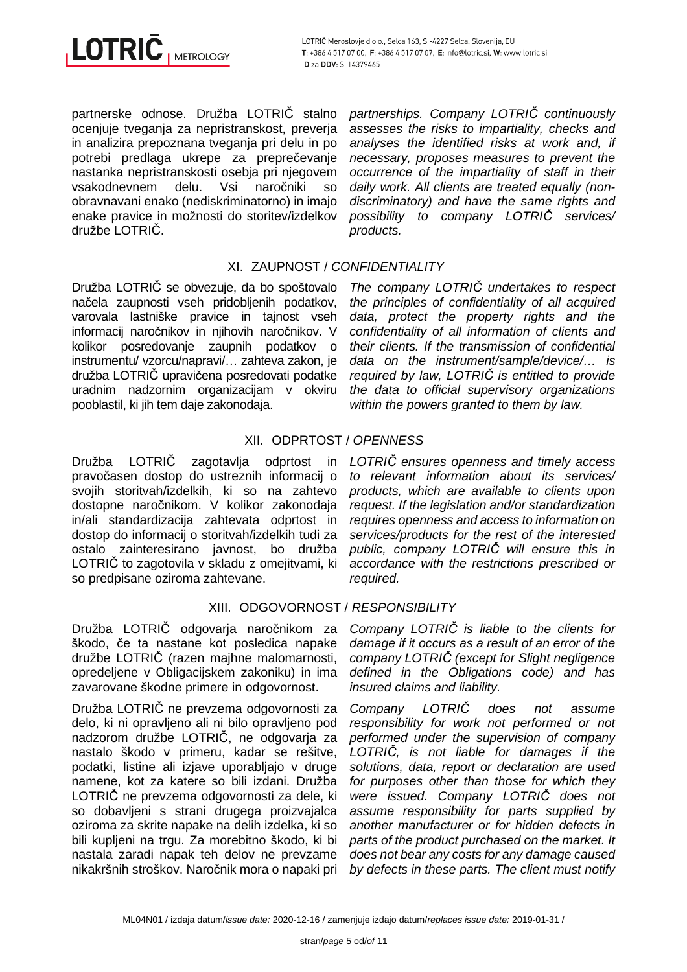

partnerske odnose. Družba LOTRIČ stalno ocenjuje tveganja za nepristranskost, preverja in analizira prepoznana tveganja pri delu in po potrebi predlaga ukrepe za preprečevanje nastanka nepristranskosti osebja pri njegovem vsakodnevnem delu. Vsi naročniki so obravnavani enako (nediskriminatorno) in imajo enake pravice in možnosti do storitev/izdelkov družbe LOTRIČ.

# XI. ZAUPNOST / CONFIDENTIALITY

products.

Družba LOTRIČ se obvezuje, da bo spoštovalo načela zaupnosti vseh pridobljenih podatkov, varovala lastniške pravice in tajnost vseh informacij naročnikov in njihovih naročnikov. V kolikor posredovanje zaupnih podatkov o instrumentu/ vzorcu/napravi/… zahteva zakon, je družba LOTRIČ upravičena posredovati podatke uradnim nadzornim organizacijam v okviru pooblastil, ki jih tem daje zakonodaja.

The company LOTRI*Č* undertakes to respect the principles of confidentiality of all acquired data, protect the property rights and the confidentiality of all information of clients and their clients. If the transmission of confidential data on the instrument/sample/device/… is required by law, LOTRI*Č* is entitled to provide the data to official supervisory organizations within the powers granted to them by law.

partnerships. Company LOTRI*Č* continuously assesses the risks to impartiality, checks and analyses the identified risks at work and, if necessary, proposes measures to prevent the occurrence of the impartiality of staff in their daily work. All clients are treated equally (nondiscriminatory) and have the same rights and possibility to company LOTRI*Č* services/

# XII. ODPRTOST / OPENNESS

Družba LOTRIČ zagotavlja odprtost in LOTRIČ ensures openness and timely access pravočasen dostop do ustreznih informacij o svojih storitvah/izdelkih, ki so na zahtevo dostopne naročnikom. V kolikor zakonodaja in/ali standardizacija zahtevata odprtost in dostop do informacij o storitvah/izdelkih tudi za ostalo zainteresirano javnost, bo družba LOTRIČ to zagotovila v skladu z omejitvami, ki so predpisane oziroma zahtevane.

# XIII. ODGOVORNOST / RESPONSIBILITY

Družba LOTRIČ odgovarja naročnikom za škodo, če ta nastane kot posledica napake družbe LOTRIČ (razen majhne malomarnosti, opredeljene v Obligacijskem zakoniku) in ima zavarovane škodne primere in odgovornost.

Družba LOTRIČ ne prevzema odgovornosti za delo, ki ni opravljeno ali ni bilo opravljeno pod nadzorom družbe LOTRIČ, ne odgovarja za nastalo škodo v primeru, kadar se rešitve, podatki, listine ali izjave uporabljajo v druge namene, kot za katere so bili izdani. Družba LOTRIČ ne prevzema odgovornosti za dele, ki so dobavljeni s strani drugega proizvajalca oziroma za skrite napake na delih izdelka, ki so bili kupljeni na trgu. Za morebitno škodo, ki bi nastala zaradi napak teh delov ne prevzame nikakršnih stroškov. Naročnik mora o napaki pri

to relevant information about its services/ products, which are available to clients upon request. If the legislation and/or standardization requires openness and access to information on services/products for the rest of the interested public, company LOTRI*Č* will ensure this in accordance with the restrictions prescribed or required.

Company LOTRI*Č* is liable to the clients for damage if it occurs as a result of an error of the company LOTRI*Č* (except for Slight negligence defined in the Obligations code) and has insured claims and liability.

Company LOTRI*Č* does not assume responsibility for work not performed or not performed under the supervision of company LOTRI*Č*, is not liable for damages if the solutions, data, report or declaration are used for purposes other than those for which they were issued. Company LOTRI*Č* does not assume responsibility for parts supplied by another manufacturer or for hidden defects in parts of the product purchased on the market. It does not bear any costs for any damage caused by defects in these parts. The client must notify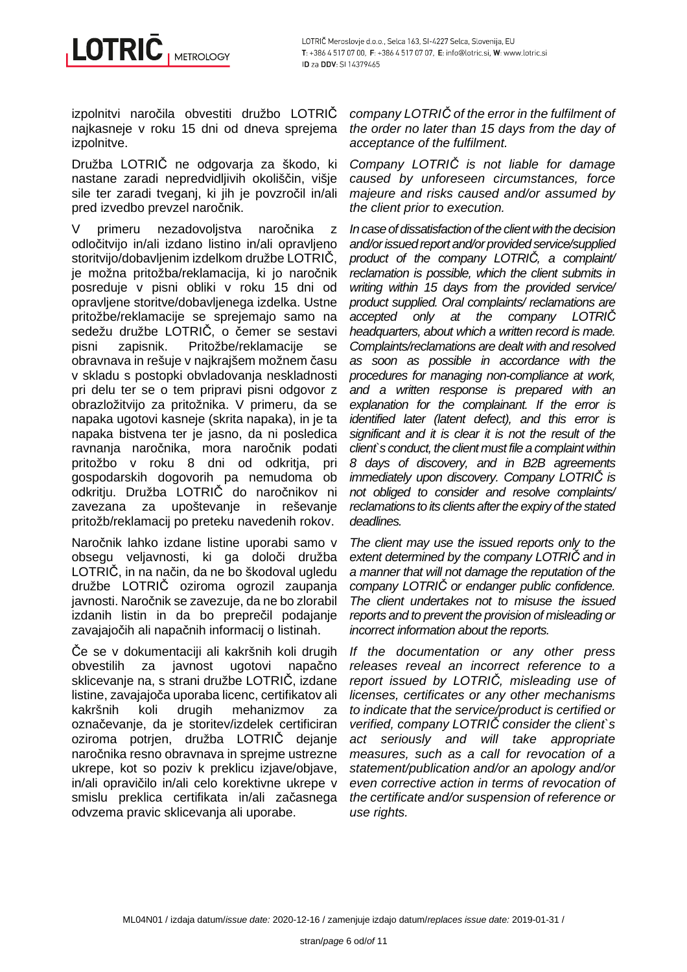izpolnitvi naročila obvestiti družbo LOTRIČ najkasneje v roku 15 dni od dneva sprejema izpolnitve.

Družba LOTRIČ ne odgovarja za škodo, ki nastane zaradi nepredvidljivih okoliščin, višje sile ter zaradi tveganj, ki jih je povzročil in/ali pred izvedbo prevzel naročnik.

V primeru nezadovoljstva naročnika z odločitvijo in/ali izdano listino in/ali opravljeno storitvijo/dobavljenim izdelkom družbe LOTRIČ, je možna pritožba/reklamacija, ki jo naročnik posreduje v pisni obliki v roku 15 dni od opravljene storitve/dobavljenega izdelka. Ustne pritožbe/reklamacije se sprejemajo samo na sedežu družbe LOTRIČ, o čemer se sestavi pisni zapisnik. Pritožbe/reklamacije se obravnava in rešuje v najkrajšem možnem času v skladu s postopki obvladovanja neskladnosti pri delu ter se o tem pripravi pisni odgovor z obrazložitvijo za pritožnika. V primeru, da se napaka ugotovi kasneje (skrita napaka), in je ta napaka bistvena ter je jasno, da ni posledica ravnanja naročnika, mora naročnik podati pritožbo v roku 8 dni od odkritja, pri gospodarskih dogovorih pa nemudoma ob odkritju. Družba LOTRIČ do naročnikov ni zavezana za upoštevanje in reševanje pritožb/reklamacij po preteku navedenih rokov.

Naročnik lahko izdane listine uporabi samo v obsegu veljavnosti, ki ga določi družba LOTRIČ, in na način, da ne bo škodoval ugledu družbe LOTRIČ oziroma ogrozil zaupanja javnosti. Naročnik se zavezuje, da ne bo zlorabil izdanih listin in da bo preprečil podajanje zavajajočih ali napačnih informacij o listinah.

Če se v dokumentaciji ali kakršnih koli drugih obvestilih za javnost ugotovi napačno sklicevanje na, s strani družbe LOTRIČ, izdane listine, zavajajoča uporaba licenc, certifikatov ali kakršnih koli drugih mehanizmov za označevanje, da je storitev/izdelek certificiran oziroma potrjen, družba LOTRIČ dejanje naročnika resno obravnava in sprejme ustrezne ukrepe, kot so poziv k preklicu izjave/objave, in/ali opravičilo in/ali celo korektivne ukrepe v smislu preklica certifikata in/ali začasnega odvzema pravic sklicevanja ali uporabe.

company LOTRI*Č* of the error in the fulfilment of the order no later than 15 days from the day of acceptance of the fulfilment.

Company LOTRI*Č* is not liable for damage caused by unforeseen circumstances, force majeure and risks caused and/or assumed by the client prior to execution.

In case of dissatisfaction of the client with the decision and/or issued report and/or provided service/supplied product of the company LOTRI*Č*, a complaint/ reclamation is possible, which the client submits in writing within 15 days from the provided service/ product supplied. Oral complaints/ reclamations are accepted only at the company LOTRI*Č* headquarters, about which a written record is made. Complaints/reclamations are dealt with and resolved as soon as possible in accordance with the procedures for managing non-compliance at work, and a written response is prepared with an explanation for the complainant. If the error is identified later (latent defect), and this error is significant and it is clear it is not the result of the client`s conduct, the client must file a complaint within 8 days of discovery, and in B2B agreements immediately upon discovery. Company LOTRI*Č* is not obliged to consider and resolve complaints/ reclamations to its clients after the expiry of the stated deadlines.

The client may use the issued reports only to the extent determined by the company LOTRI*Č* and in a manner that will not damage the reputation of the company LOTRI*Č* or endanger public confidence. The client undertakes not to misuse the issued reports and to prevent the provision of misleading or incorrect information about the reports.

If the documentation or any other press releases reveal an incorrect reference to a report issued by LOTRI*Č*, misleading use of licenses, certificates or any other mechanisms to indicate that the service/product is certified or verified, company LOTRI*Č* consider the client`s act seriously and will take appropriate measures, such as a call for revocation of a statement/publication and/or an apology and/or even corrective action in terms of revocation of the certificate and/or suspension of reference or use rights.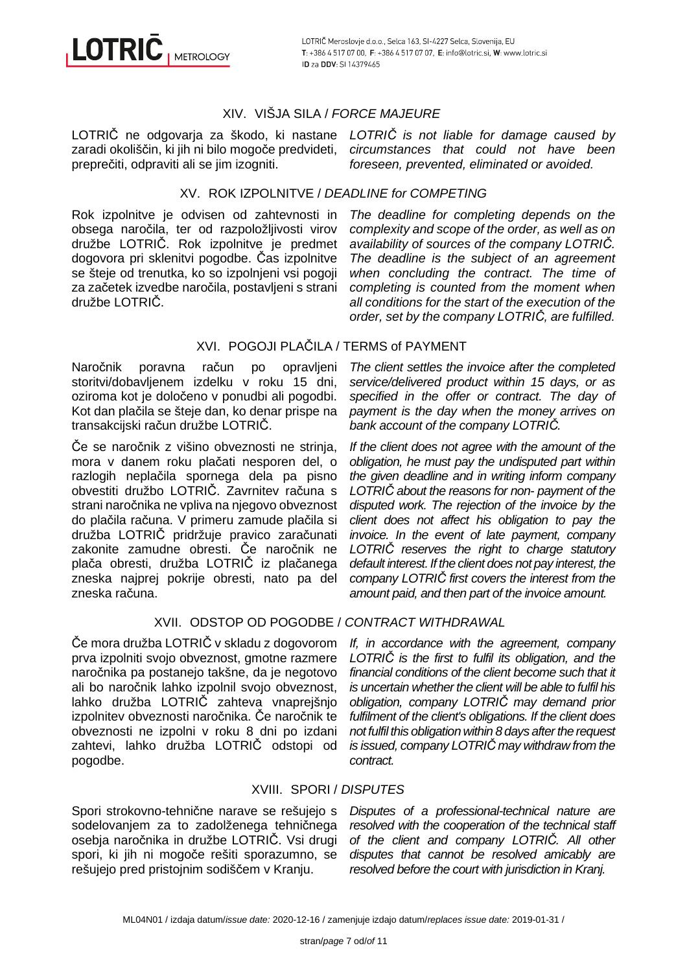# XIV. VIŠJA SILA / FORCE MAJEURE

zaradi okoliščin, ki jih ni bilo mogoče predvideti, preprečiti, odpraviti ali se jim izogniti.

LOTRIČ ne odgovarja za škodo, ki nastane LOTRI*Č* is not liable for damage caused by circumstances that could not have been foreseen, prevented, eliminated or avoided.

# XV. ROK IZPOLNITVE / DEADLINE for COMPETING

Rok izpolnitve je odvisen od zahtevnosti in obsega naročila, ter od razpoložljivosti virov družbe LOTRIČ. Rok izpolnitve je predmet dogovora pri sklenitvi pogodbe. Čas izpolnitve se šteje od trenutka, ko so izpolnjeni vsi pogoji za začetek izvedbe naročila, postavljeni s strani družbe LOTRIČ.

The deadline for completing depends on the complexity and scope of the order, as well as on availability of sources of the company LOTRI*Č*. The deadline is the subject of an agreement when concluding the contract. The time of completing is counted from the moment when all conditions for the start of the execution of the order, set by the company LOTRI*Č*, are fulfilled.

# XVI. POGOJI PLAČILA / TERMS of PAYMENT

Naročnik poravna račun po opravljeni storitvi/dobavljenem izdelku v roku 15 dni, oziroma kot je določeno v ponudbi ali pogodbi. Kot dan plačila se šteje dan, ko denar prispe na transakcijski račun družbe LOTRIČ.

Če se naročnik z višino obveznosti ne strinja, mora v danem roku plačati nesporen del, o razlogih neplačila spornega dela pa pisno obvestiti družbo LOTRIČ. Zavrnitev računa s strani naročnika ne vpliva na njegovo obveznost do plačila računa. V primeru zamude plačila si družba LOTRIČ pridržuje pravico zaračunati zakonite zamudne obresti. Če naročnik ne plača obresti, družba LOTRIČ iz plačanega zneska najprej pokrije obresti, nato pa del zneska računa.

The client settles the invoice after the completed service/delivered product within 15 days, or as specified in the offer or contract. The day of payment is the day when the money arrives on bank account of the company LOTRI*Č*.

If the client does not agree with the amount of the obligation, he must pay the undisputed part within the given deadline and in writing inform company LOTRI*Č* about the reasons for non- payment of the disputed work. The rejection of the invoice by the client does not affect his obligation to pay the invoice. In the event of late payment, company LOTRI*Č* reserves the right to charge statutory default interest. If the client does not pay interest, the company LOTRI*Č* first covers the interest from the amount paid, and then part of the invoice amount.

# XVII. ODSTOP OD POGODBE / CONTRACT WITHDRAWAL

Če mora družba LOTRIČ v skladu z dogovorom prva izpolniti svojo obveznost, gmotne razmere naročnika pa postanejo takšne, da je negotovo ali bo naročnik lahko izpolnil svojo obveznost, lahko družba LOTRIČ zahteva vnaprejšnjo izpolnitev obveznosti naročnika. Če naročnik te obveznosti ne izpolni v roku 8 dni po izdani zahtevi, lahko družba LOTRIČ odstopi od pogodbe.

If, in accordance with the agreement, company LOTRI*Č* is the first to fulfil its obligation, and the financial conditions of the client become such that it is uncertain whether the client will be able to fulfil his obligation, company LOTRI*Č* may demand prior fulfilment of the client's obligations. If the client does not fulfil this obligation within 8 days after the request is issued, company LOTRI*Č* may withdraw from the contract.

# XVIII. SPORI / DISPUTES

Spori strokovno-tehnične narave se rešujejo s sodelovanjem za to zadolženega tehničnega osebja naročnika in družbe LOTRIČ. Vsi drugi spori, ki jih ni mogoče rešiti sporazumno, se rešujejo pred pristojnim sodiščem v Kranju.

Disputes of a professional-technical nature are resolved with the cooperation of the technical staff of the client and company LOTRI*Č*. All other disputes that cannot be resolved amicably are resolved before the court with jurisdiction in Kranj.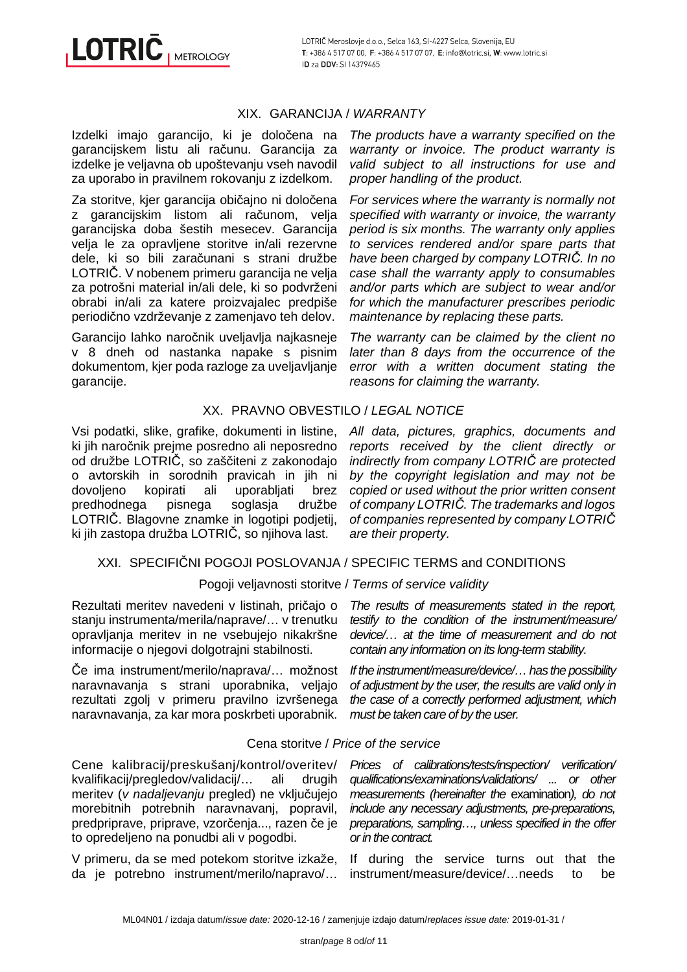**LOTRIC METROLOGY** 

# XIX. GARANCIJA / WARRANTY

Izdelki imajo garancijo, ki je določena na garancijskem listu ali računu. Garancija za izdelke je veljavna ob upoštevanju vseh navodil za uporabo in pravilnem rokovanju z izdelkom.

Za storitve, kier garancija običajno ni določena z garancijskim listom ali računom, velja garancijska doba šestih mesecev. Garancija velja le za opravljene storitve in/ali rezervne dele, ki so bili zaračunani s strani družbe LOTRIČ. V nobenem primeru garancija ne velja za potrošni material in/ali dele, ki so podvrženi obrabi in/ali za katere proizvajalec predpiše periodično vzdrževanje z zamenjavo teh delov.

Garancijo lahko naročnik uveljavlja najkasneje v 8 dneh od nastanka napake s pisnim dokumentom, kjer poda razloge za uveljavljanje garancije.

The products have a warranty specified on the warranty or invoice. The product warranty is valid subject to all instructions for use and proper handling of the product.

For services where the warranty is normally not specified with warranty or invoice, the warranty period is six months. The warranty only applies to services rendered and/or spare parts that have been charged by company LOTRI*Č*. In no case shall the warranty apply to consumables and/or parts which are subject to wear and/or for which the manufacturer prescribes periodic maintenance by replacing these parts.

The warranty can be claimed by the client no later than 8 days from the occurrence of the error with a written document stating the reasons for claiming the warranty.

# XX. PRAVNO OBVESTILO / LEGAL NOTICE

Vsi podatki, slike, grafike, dokumenti in listine, ki jih naročnik prejme posredno ali neposredno od družbe LOTRIČ, so zaščiteni z zakonodajo o avtorskih in sorodnih pravicah in jih ni dovoljeno kopirati ali uporabljati brez predhodnega pisnega soglasja družbe LOTRIČ. Blagovne znamke in logotipi podjetij, ki jih zastopa družba LOTRIČ, so njihova last.

All data, pictures, graphics, documents and reports received by the client directly or indirectly from company LOTRI*Č* are protected by the copyright legislation and may not be copied or used without the prior written consent of company LOTRI*Č*. The trademarks and logos of companies represented by company LOTRI*Č* are their property.

# XXI. SPECIFIČNI POGOJI POSLOVANJA / SPECIFIC TERMS and CONDITIONS

#### Pogoji veljavnosti storitve / Terms of service validity

Rezultati meritev navedeni v listinah, pričajo o stanju instrumenta/merila/naprave/… v trenutku opravljanja meritev in ne vsebujejo nikakršne informacije o njegovi dolgotrajni stabilnosti.

Če ima instrument/merilo/naprava/… možnost naravnavanja s strani uporabnika, veljajo rezultati zgolj v primeru pravilno izvršenega naravnavanja, za kar mora poskrbeti uporabnik.

The results of measurements stated in the report, testify to the condition of the instrument/measure/ device/… at the time of measurement and do not contain any information on its long-term stability.

If the instrument/measure/device/… has the possibility of adjustment by the user, the results are valid only in the case of a correctly performed adjustment, which must be taken care of by the user.

# Cena storitve / Price of the service

Cene kalibracij/preskušanj/kontrol/overitev/ kvalifikacij/pregledov/validacij/… ali drugih meritev (v nadaljevanju pregled) ne vključujejo morebitnih potrebnih naravnavanj, popravil, predpriprave, priprave, vzorčenja..., razen če je to opredeljeno na ponudbi ali v pogodbi.

V primeru, da se med potekom storitve izkaže, da je potrebno instrument/merilo/napravo/…

Prices of calibrations/tests/inspection/ verification/ qualifications/examinations/validations/ ... or other measurements (hereinafter the examination), do not include any necessary adjustments, pre-preparations, preparations, sampling…, unless specified in the offer or in the contract.

If during the service turns out that the instrument/measure/device/…needs to be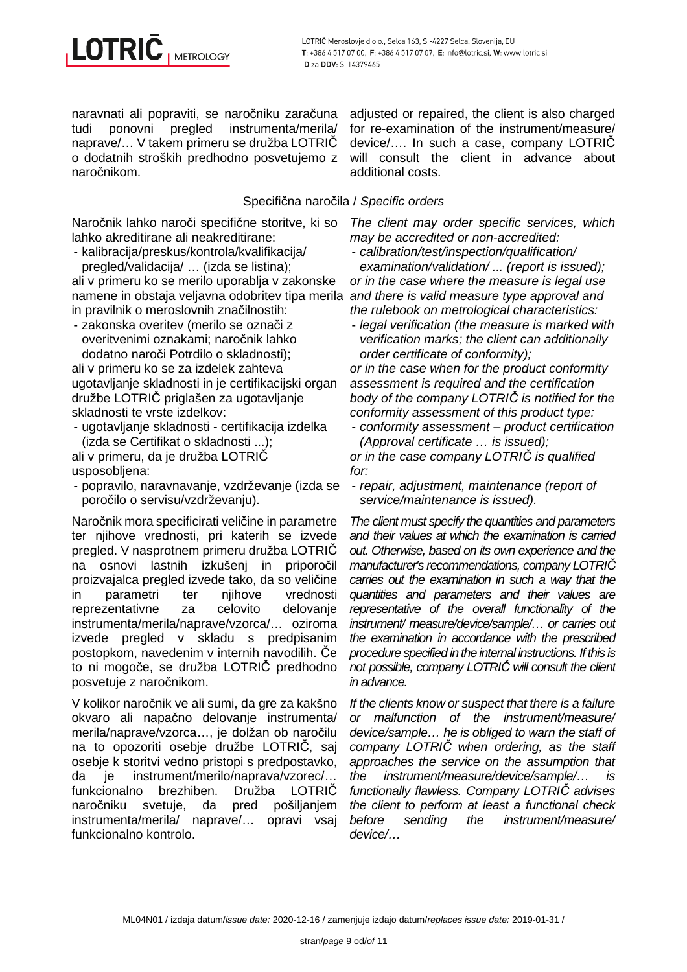naravnati ali popraviti, se naročniku zaračuna tudi ponovni pregled instrumenta/merila/ naprave/… V takem primeru se družba LOTRIČ o dodatnih stroških predhodno posvetujemo z naročnikom.

adjusted or repaired, the client is also charged for re-examination of the instrument/measure/ device/…. In such a case, company LOTRIČ will consult the client in advance about additional costs.

# Specifična naročila / Specific orders

Naročnik lahko naroči specifične storitve, ki so lahko akreditirane ali neakreditirane:

- kalibracija/preskus/kontrola/kvalifikacija/ pregled/validacija/ … (izda se listina);

ali v primeru ko se merilo uporablja v zakonske namene in obstaja veljavna odobritev tipa merila and there is valid measure type approval and in pravilnik o meroslovnih značilnostih:

- zakonska overitev (merilo se označi z overitvenimi oznakami; naročnik lahko dodatno naroči Potrdilo o skladnosti);

ali v primeru ko se za izdelek zahteva ugotavljanje skladnosti in je certifikacijski organ družbe LOTRIČ priglašen za ugotavljanje skladnosti te vrste izdelkov:

- ugotavljanje skladnosti - certifikacija izdelka (izda se Certifikat o skladnosti ...);

ali v primeru, da je družba LOTRIČ usposobljena:

- popravilo, naravnavanje, vzdrževanje (izda se poročilo o servisu/vzdrževanju).

Naročnik mora specificirati veličine in parametre ter njihove vrednosti, pri katerih se izvede pregled. V nasprotnem primeru družba LOTRIČ na osnovi lastnih izkušenj in priporočil proizvajalca pregled izvede tako, da so veličine in parametri ter njihove vrednosti reprezentativne za celovito delovanje instrumenta/merila/naprave/vzorca/… oziroma izvede pregled v skladu s predpisanim postopkom, navedenim v internih navodilih. Če to ni mogoče, se družba LOTRIČ predhodno posvetuje z naročnikom.

V kolikor naročnik ve ali sumi, da gre za kakšno okvaro ali napačno delovanje instrumenta/ merila/naprave/vzorca…, je dolžan ob naročilu na to opozoriti osebje družbe LOTRIČ, saj osebje k storitvi vedno pristopi s predpostavko, da je instrument/merilo/naprava/vzorec/… funkcionalno brezhiben. Družba LOTRIČ naročniku svetuje, da pred pošiljanjem instrumenta/merila/ naprave/… opravi vsaj funkcionalno kontrolo.

The client may order specific services, which may be accredited or non-accredited:

- calibration/test/inspection/qualification/

examination/validation/ ... (report is issued); or in the case where the measure is legal use the rulebook on metrological characteristics:

- legal verification (the measure is marked with verification marks; the client can additionally order certificate of conformity);

or in the case when for the product conformity assessment is required and the certification body of the company LOTRI*Č* is notified for the conformity assessment of this product type:

- conformity assessment – product certification (Approval certificate … is issued);

or in the case company LOTRI*Č* is qualified for:

- repair, adjustment, maintenance (report of service/maintenance is issued).

The client must specify the quantities and parameters and their values at which the examination is carried out. Otherwise, based on its own experience and the manufacturer's recommendations, company LOTRI*Č* carries out the examination in such a way that the quantities and parameters and their values are representative of the overall functionality of the instrument/ measure/device/sample/… or carries out the examination in accordance with the prescribed procedure specified in the internal instructions. If this is not possible, company LOTRI*Č* will consult the client in advance.

If the clients know or suspect that there is a failure or malfunction of the instrument/measure/ device/sample… he is obliged to warn the staff of company LOTRI*Č* when ordering, as the staff approaches the service on the assumption that the instrument/measure/device/sample/… is functionally flawless. Company LOTRI*Č* advises the client to perform at least a functional check before sending the instrument/measure/ device/…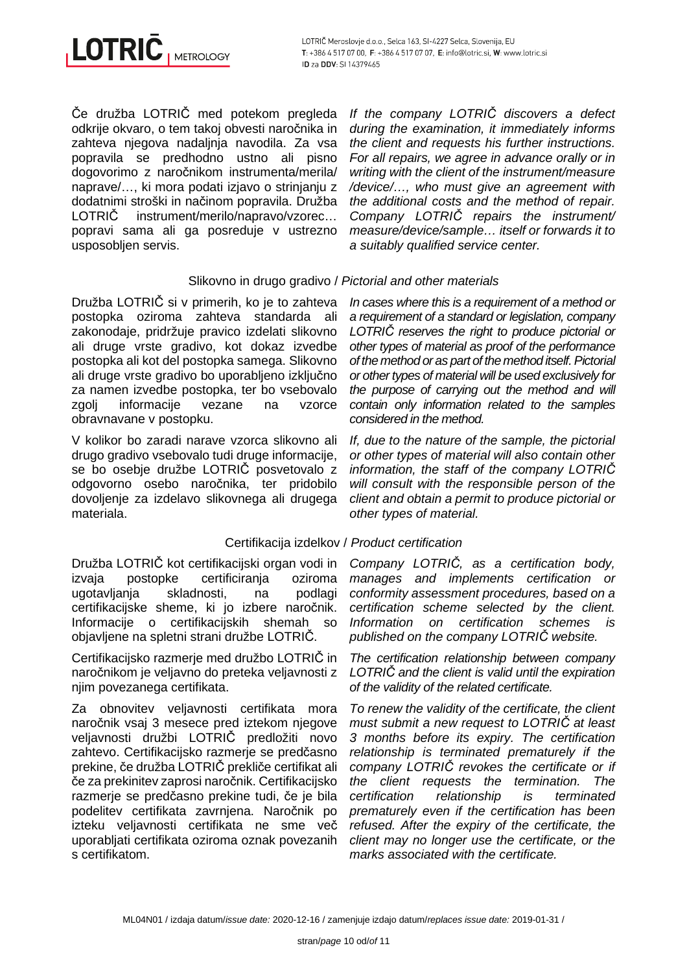Če družba LOTRIČ med potekom pregleda odkrije okvaro, o tem takoj obvesti naročnika in zahteva njegova nadaljnja navodila. Za vsa popravila se predhodno ustno ali pisno dogovorimo z naročnikom instrumenta/merila/ naprave/…, ki mora podati izjavo o strinjanju z dodatnimi stroški in načinom popravila. Družba LOTRIC instrument/merilo/napravo/vzorec... popravi sama ali ga posreduje v ustrezno usposobljen servis.

# Slikovno in drugo gradivo / Pictorial and other materials

Družba LOTRIČ si v primerih, ko je to zahteva postopka oziroma zahteva standarda ali zakonodaje, pridržuje pravico izdelati slikovno ali druge vrste gradivo, kot dokaz izvedbe postopka ali kot del postopka samega. Slikovno ali druge vrste gradivo bo uporabljeno izključno za namen izvedbe postopka, ter bo vsebovalo zgoli informacije vezane na vzorce obravnavane v postopku.

V kolikor bo zaradi narave vzorca slikovno ali drugo gradivo vsebovalo tudi druge informacije, se bo osebje družbe LOTRIČ posvetovalo z odgovorno osebo naročnika, ter pridobilo dovoljenje za izdelavo slikovnega ali drugega materiala.

# Certifikacija izdelkov / Product certification

Družba LOTRIČ kot certifikacijski organ vodi in izvaja postopke certificiranja oziroma ugotavljanja skladnosti, na podlagi certifikacijske sheme, ki jo izbere naročnik. Informacije o certifikacijskih shemah so objavljene na spletni strani družbe LOTRIČ.

Certifikacijsko razmerje med družbo LOTRIČ in naročnikom je veljavno do preteka veljavnosti z njim povezanega certifikata.

Za obnovitev veljavnosti certifikata mora naročnik vsaj 3 mesece pred iztekom njegove veljavnosti družbi LOTRIČ predložiti novo zahtevo. Certifikacijsko razmerje se predčasno prekine, če družba LOTRIČ prekliče certifikat ali če za prekinitev zaprosi naročnik. Certifikacijsko razmerje se predčasno prekine tudi, če je bila podelitev certifikata zavrnjena. Naročnik po izteku veljavnosti certifikata ne sme več uporabljati certifikata oziroma oznak povezanih s certifikatom.

If the company LOTRI*Č* discovers a defect during the examination, it immediately informs the client and requests his further instructions. For all repairs, we agree in advance orally or in writing with the client of the instrument/measure /device/…, who must give an agreement with the additional costs and the method of repair. Company LOTRI*Č* repairs the instrument/ measure/device/sample… itself or forwards it to a suitably qualified service center.

In cases where this is a requirement of a method or a requirement of a standard or legislation, company LOTRI*Č* reserves the right to produce pictorial or other types of material as proof of the performance of the method or as part of the method itself. Pictorial or other types of material will be used exclusively for the purpose of carrying out the method and will contain only information related to the samples considered in the method.

If, due to the nature of the sample, the pictorial or other types of material will also contain other information, the staff of the company LOTRI*Č* will consult with the responsible person of the client and obtain a permit to produce pictorial or other types of material.

Company LOTRI*Č*, as a certification body, manages and implements certification or conformity assessment procedures, based on a certification scheme selected by the client. Information on certification schemes is published on the company LOTRI*Č* website.

The certification relationship between company LOTRI*Č* and the client is valid until the expiration of the validity of the related certificate.

To renew the validity of the certificate, the client must submit a new request to LOTRI*Č* at least 3 months before its expiry. The certification relationship is terminated prematurely if the company LOTRI*Č* revokes the certificate or if the client requests the termination. The certification relationship is terminated prematurely even if the certification has been refused. After the expiry of the certificate, the client may no longer use the certificate, or the marks associated with the certificate.